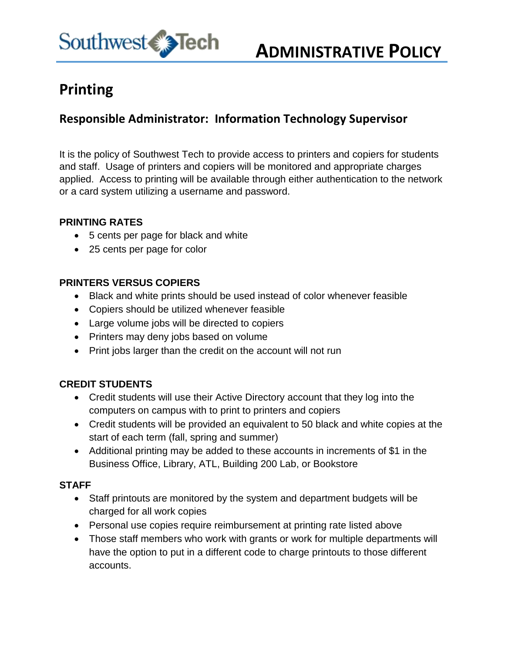

# **Printing**

## **Responsible Administrator: Information Technology Supervisor**

It is the policy of Southwest Tech to provide access to printers and copiers for students and staff. Usage of printers and copiers will be monitored and appropriate charges applied. Access to printing will be available through either authentication to the network or a card system utilizing a username and password.

#### **PRINTING RATES**

- 5 cents per page for black and white
- 25 cents per page for color

#### **PRINTERS VERSUS COPIERS**

- Black and white prints should be used instead of color whenever feasible
- Copiers should be utilized whenever feasible
- Large volume jobs will be directed to copiers
- Printers may deny jobs based on volume
- Print jobs larger than the credit on the account will not run

## **CREDIT STUDENTS**

- Credit students will use their Active Directory account that they log into the computers on campus with to print to printers and copiers
- Credit students will be provided an equivalent to 50 black and white copies at the start of each term (fall, spring and summer)
- Additional printing may be added to these accounts in increments of \$1 in the Business Office, Library, ATL, Building 200 Lab, or Bookstore

## **STAFF**

- Staff printouts are monitored by the system and department budgets will be charged for all work copies
- Personal use copies require reimbursement at printing rate listed above
- Those staff members who work with grants or work for multiple departments will have the option to put in a different code to charge printouts to those different accounts.